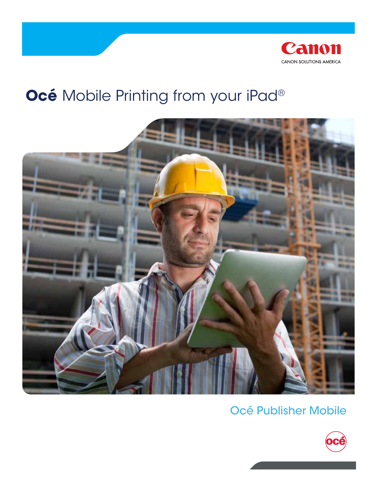

# **Océ** Mobile Printing from your iPad®



## Océ Publisher Mobile

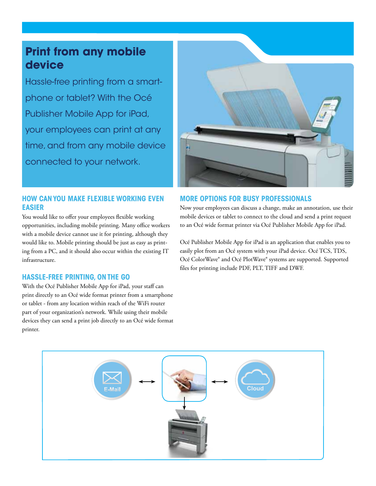### **Print from any mobile device**

Hassle-free printing from a smartphone or tablet? With the Océ Publisher Mobile App for iPad, your employees can print at any time, and from any mobile device connected to your network.

#### **How can you make flexible working even easier**

You would like to offer your employees flexible working opportunities, including mobile printing. Many office workers with a mobile device cannot use it for printing, although they would like to. Mobile printing should be just as easy as printing from a PC, and it should also occur within the existing IT infrastructure.

#### **Hassle-free printing, on the go**

With the Océ Publisher Mobile App for iPad, your staff can print directly to an Océ wide format printer from a smartphone or tablet - from any location within reach of the WiFi router part of your organization's network. While using their mobile devices they can send a print job directly to an Océ wide format printer.



#### **More options for busy professionals**

Now your employees can discuss a change, make an annotation, use their mobile devices or tablet to connect to the cloud and send a print request to an Océ wide format printer via Océ Publisher Mobile App for iPad.

Océ Publisher Mobile App for iPad is an application that enables you to easily plot from an Océ system with your iPad device. Océ TCS, TDS, Océ ColorWave® and Océ PlotWave® systems are supported. Supported files for printing include PDF, PLT, TIFF and DWF.

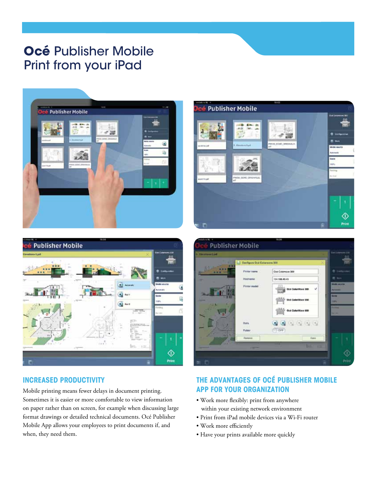### **Océ** Publisher Mobile Print from your iPad





#### **INCREASED PRODUCTIVITY**

Mobile printing means fewer delays in document printing. Sometimes it is easier or more comfortable to view information on paper rather than on screen, for example when discussing large format drawings or detailed technical documents. Océ Publisher Mobile App allows your employees to print documents if, and when, they need them.





#### **The advantages of Océ Publisher Mobile App for your organization**

- Work more flexibly: print from anywhere within your existing network environment
- Print from iPad mobile devices via a Wi-Fi router
- Work more efficiently
- Have your prints available more quickly